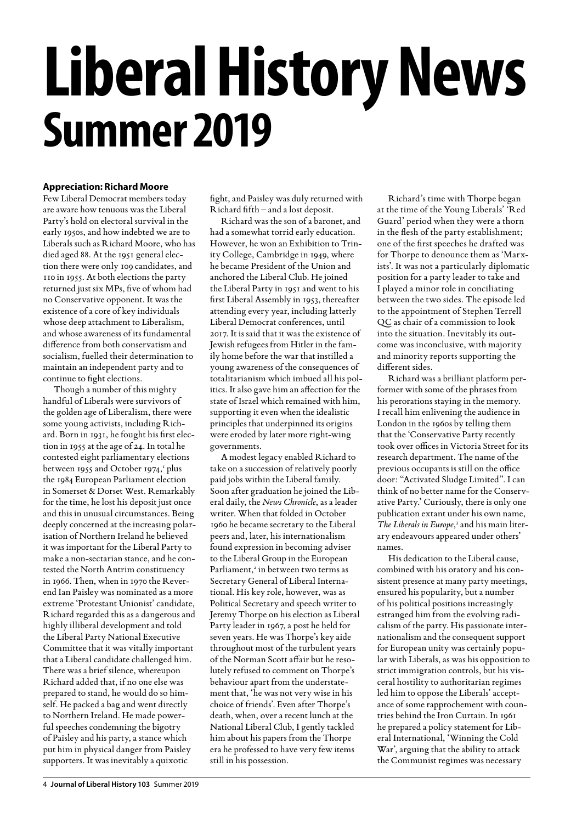# **Liberal History News Summer 2019**

#### **Appreciation: Richard Moore**

Few Liberal Democrat members today are aware how tenuous was the Liberal Party's hold on electoral survival in the early 1950s, and how indebted we are to Liberals such as Richard Moore, who has died aged 88. At the 1951 general election there were only 109 candidates, and 110 in 1955. At both elections the party returned just six MPs, five of whom had no Conservative opponent. It was the existence of a core of key individuals whose deep attachment to Liberalism, and whose awareness of its fundamental difference from both conservatism and socialism, fuelled their determination to maintain an independent party and to continue to fight elections.

Though a number of this mighty handful of Liberals were survivors of the golden age of Liberalism, there were some young activists, including Richard. Born in 1931, he fought his first election in 1955 at the age of 24. In total he contested eight parliamentary elections between 1955 and October 1974,<sup>1</sup> plus the 1984 European Parliament election in Somerset & Dorset West. Remarkably for the time, he lost his deposit just once and this in unusual circumstances. Being deeply concerned at the increasing polarisation of Northern Ireland he believed it was important for the Liberal Party to make a non-sectarian stance, and he contested the North Antrim constituency in 1966. Then, when in 1970 the Reverend Ian Paisley was nominated as a more extreme 'Protestant Unionist' candidate, Richard regarded this as a dangerous and highly illiberal development and told the Liberal Party National Executive Committee that it was vitally important that a Liberal candidate challenged him. There was a brief silence, whereupon Richard added that, if no one else was prepared to stand, he would do so himself. He packed a bag and went directly to Northern Ireland. He made powerful speeches condemning the bigotry of Paisley and his party, a stance which put him in physical danger from Paisley supporters. It was inevitably a quixotic

fight, and Paisley was duly returned with Richard fifth – and a lost deposit.

Richard was the son of a baronet, and had a somewhat torrid early education. However, he won an Exhibition to Trinity College, Cambridge in 1949, where he became President of the Union and anchored the Liberal Club. He joined the Liberal Party in 1951 and went to his first Liberal Assembly in 1953, thereafter attending every year, including latterly Liberal Democrat conferences, until 2017. It is said that it was the existence of Jewish refugees from Hitler in the family home before the war that instilled a young awareness of the consequences of totalitarianism which imbued all his politics. It also gave him an affection for the state of Israel which remained with him, supporting it even when the idealistic principles that underpinned its origins were eroded by later more right-wing governments.

A modest legacy enabled Richard to take on a succession of relatively poorly paid jobs within the Liberal family. Soon after graduation he joined the Liberal daily, the *News Chronicle*, as a leader writer. When that folded in October 1960 he became secretary to the Liberal peers and, later, his internationalism found expression in becoming adviser to the Liberal Group in the European Parliament,<sup>2</sup> in between two terms as Secretary General of Liberal International. His key role, however, was as Political Secretary and speech writer to Jeremy Thorpe on his election as Liberal Party leader in 1967, a post he held for seven years. He was Thorpe's key aide throughout most of the turbulent years of the Norman Scott affair but he resolutely refused to comment on Thorpe's behaviour apart from the understatement that, 'he was not very wise in his choice of friends'. Even after Thorpe's death, when, over a recent lunch at the National Liberal Club, I gently tackled him about his papers from the Thorpe era he professed to have very few items still in his possession.

Richard's time with Thorpe began at the time of the Young Liberals' 'Red Guard' period when they were a thorn in the flesh of the party establishment; one of the first speeches he drafted was for Thorpe to denounce them as 'Marxists'. It was not a particularly diplomatic position for a party leader to take and I played a minor role in conciliating between the two sides. The episode led to the appointment of Stephen Terrell QC as chair of a commission to look into the situation. Inevitably its outcome was inconclusive, with majority and minority reports supporting the different sides.

Richard was a brilliant platform performer with some of the phrases from his perorations staying in the memory. I recall him enlivening the audience in London in the 1960s by telling them that the 'Conservative Party recently took over offices in Victoria Street for its research department. The name of the previous occupants is still on the office door: "Activated Sludge Limited". I can think of no better name for the Conservative Party.' Curiously, there is only one publication extant under his own name, The Liberals in Europe,<sup>3</sup> and his main literary endeavours appeared under others' names.

His dedication to the Liberal cause, combined with his oratory and his consistent presence at many party meetings, ensured his popularity, but a number of his political positions increasingly estranged him from the evolving radicalism of the party. His passionate internationalism and the consequent support for European unity was certainly popular with Liberals, as was his opposition to strict immigration controls, but his visceral hostility to authoritarian regimes led him to oppose the Liberals' acceptance of some rapprochement with countries behind the Iron Curtain. In 1961 he prepared a policy statement for Liberal International, 'Winning the Cold War', arguing that the ability to attack the Communist regimes was necessary